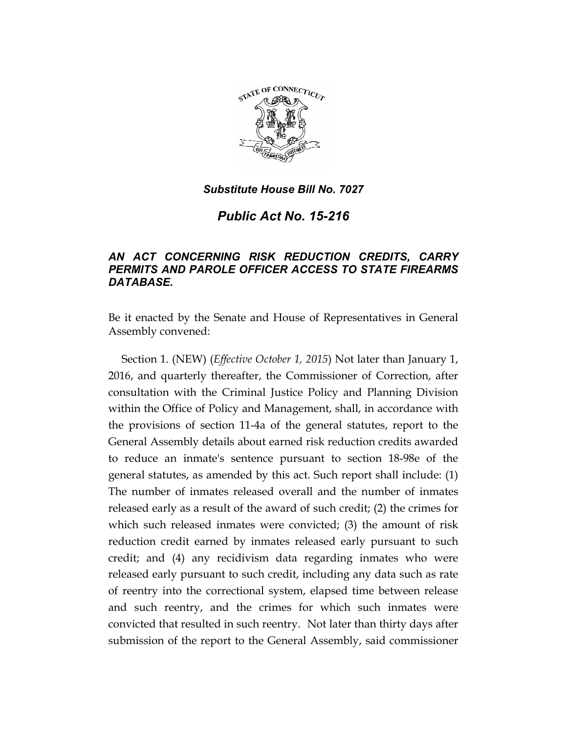

*Public Act No. 15-216* 

# *AN ACT CONCERNING RISK REDUCTION CREDITS, CARRY PERMITS AND PAROLE OFFICER ACCESS TO STATE FIREARMS DATABASE.*

Be it enacted by the Senate and House of Representatives in General Assembly convened:

Section 1. (NEW) (*Effective October 1, 2015*) Not later than January 1, 2016, and quarterly thereafter, the Commissioner of Correction, after consultation with the Criminal Justice Policy and Planning Division within the Office of Policy and Management, shall, in accordance with the provisions of section 11-4a of the general statutes, report to the General Assembly details about earned risk reduction credits awarded to reduce an inmate's sentence pursuant to section 18-98e of the general statutes, as amended by this act. Such report shall include: (1) The number of inmates released overall and the number of inmates released early as a result of the award of such credit; (2) the crimes for which such released inmates were convicted; (3) the amount of risk reduction credit earned by inmates released early pursuant to such credit; and (4) any recidivism data regarding inmates who were released early pursuant to such credit, including any data such as rate of reentry into the correctional system, elapsed time between release and such reentry, and the crimes for which such inmates were convicted that resulted in such reentry. Not later than thirty days after submission of the report to the General Assembly, said commissioner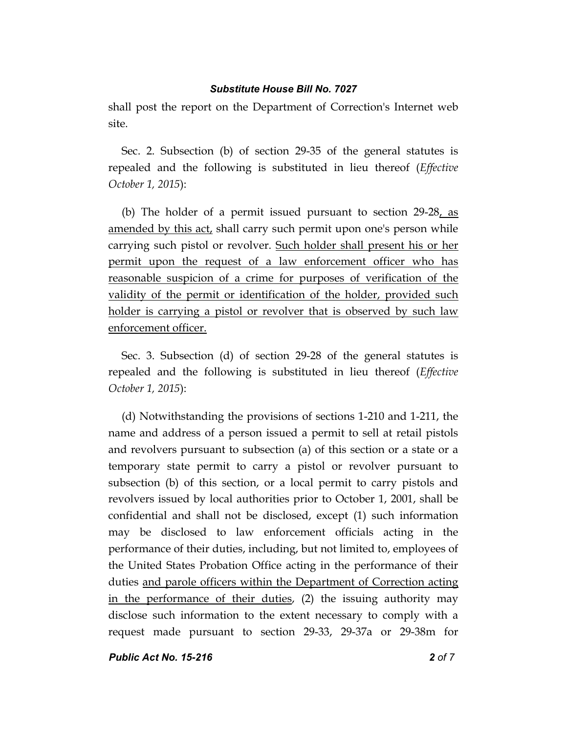shall post the report on the Department of Correction's Internet web site.

Sec. 2. Subsection (b) of section 29-35 of the general statutes is repealed and the following is substituted in lieu thereof (*Effective October 1, 2015*):

(b) The holder of a permit issued pursuant to section  $29-28$ , as amended by this act, shall carry such permit upon one's person while carrying such pistol or revolver. Such holder shall present his or her permit upon the request of a law enforcement officer who has reasonable suspicion of a crime for purposes of verification of the validity of the permit or identification of the holder, provided such holder is carrying a pistol or revolver that is observed by such law enforcement officer.

Sec. 3. Subsection (d) of section 29-28 of the general statutes is repealed and the following is substituted in lieu thereof (*Effective October 1, 2015*):

(d) Notwithstanding the provisions of sections 1-210 and 1-211, the name and address of a person issued a permit to sell at retail pistols and revolvers pursuant to subsection (a) of this section or a state or a temporary state permit to carry a pistol or revolver pursuant to subsection (b) of this section, or a local permit to carry pistols and revolvers issued by local authorities prior to October 1, 2001, shall be confidential and shall not be disclosed, except (1) such information may be disclosed to law enforcement officials acting in the performance of their duties, including, but not limited to, employees of the United States Probation Office acting in the performance of their duties and parole officers within the Department of Correction acting in the performance of their duties, (2) the issuing authority may disclose such information to the extent necessary to comply with a request made pursuant to section 29-33, 29-37a or 29-38m for

*Public Act No. 15-216 2 of 7*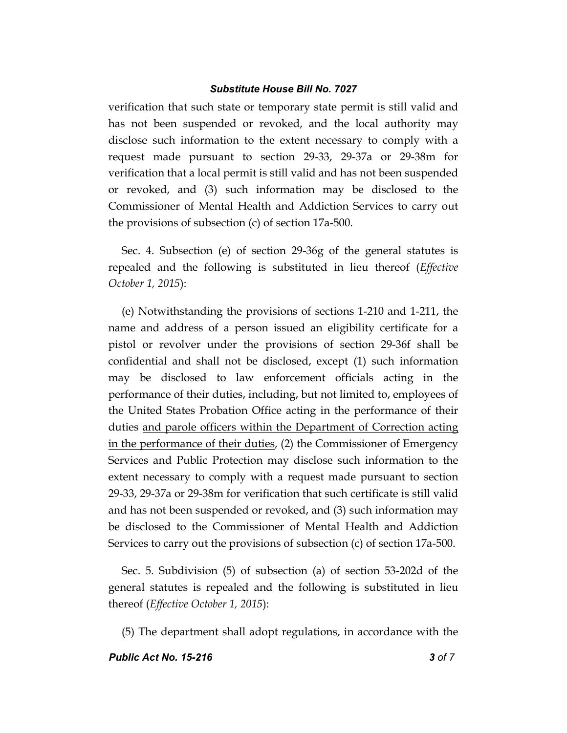verification that such state or temporary state permit is still valid and has not been suspended or revoked, and the local authority may disclose such information to the extent necessary to comply with a request made pursuant to section 29-33, 29-37a or 29-38m for verification that a local permit is still valid and has not been suspended or revoked, and (3) such information may be disclosed to the Commissioner of Mental Health and Addiction Services to carry out the provisions of subsection (c) of section 17a-500.

Sec. 4. Subsection (e) of section 29-36g of the general statutes is repealed and the following is substituted in lieu thereof (*Effective October 1, 2015*):

(e) Notwithstanding the provisions of sections 1-210 and 1-211, the name and address of a person issued an eligibility certificate for a pistol or revolver under the provisions of section 29-36f shall be confidential and shall not be disclosed, except (1) such information may be disclosed to law enforcement officials acting in the performance of their duties, including, but not limited to, employees of the United States Probation Office acting in the performance of their duties and parole officers within the Department of Correction acting in the performance of their duties, (2) the Commissioner of Emergency Services and Public Protection may disclose such information to the extent necessary to comply with a request made pursuant to section 29-33, 29-37a or 29-38m for verification that such certificate is still valid and has not been suspended or revoked, and (3) such information may be disclosed to the Commissioner of Mental Health and Addiction Services to carry out the provisions of subsection (c) of section 17a-500.

Sec. 5. Subdivision (5) of subsection (a) of section 53-202d of the general statutes is repealed and the following is substituted in lieu thereof (*Effective October 1, 2015*):

(5) The department shall adopt regulations, in accordance with the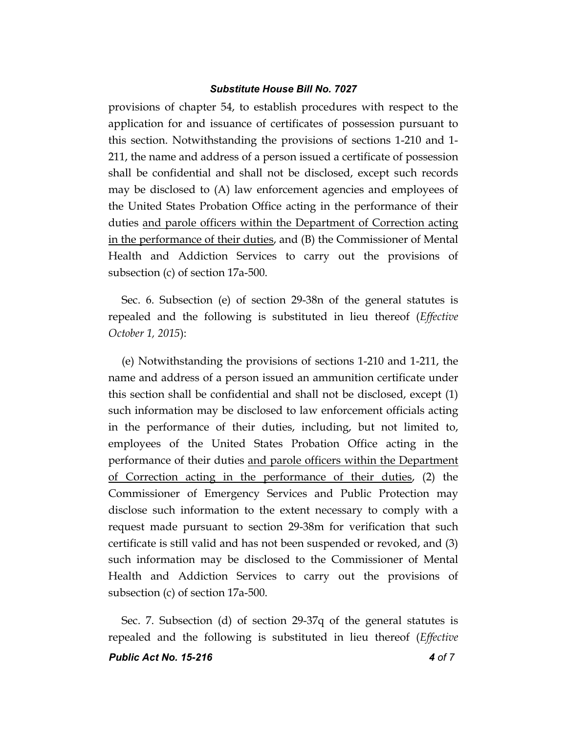provisions of chapter 54, to establish procedures with respect to the application for and issuance of certificates of possession pursuant to this section. Notwithstanding the provisions of sections 1-210 and 1- 211, the name and address of a person issued a certificate of possession shall be confidential and shall not be disclosed, except such records may be disclosed to (A) law enforcement agencies and employees of the United States Probation Office acting in the performance of their duties and parole officers within the Department of Correction acting in the performance of their duties, and (B) the Commissioner of Mental Health and Addiction Services to carry out the provisions of subsection (c) of section 17a-500.

Sec. 6. Subsection (e) of section 29-38n of the general statutes is repealed and the following is substituted in lieu thereof (*Effective October 1, 2015*):

(e) Notwithstanding the provisions of sections 1-210 and 1-211, the name and address of a person issued an ammunition certificate under this section shall be confidential and shall not be disclosed, except (1) such information may be disclosed to law enforcement officials acting in the performance of their duties, including, but not limited to, employees of the United States Probation Office acting in the performance of their duties and parole officers within the Department of Correction acting in the performance of their duties, (2) the Commissioner of Emergency Services and Public Protection may disclose such information to the extent necessary to comply with a request made pursuant to section 29-38m for verification that such certificate is still valid and has not been suspended or revoked, and (3) such information may be disclosed to the Commissioner of Mental Health and Addiction Services to carry out the provisions of subsection (c) of section 17a-500.

Sec. 7. Subsection (d) of section 29-37q of the general statutes is repealed and the following is substituted in lieu thereof (*Effective*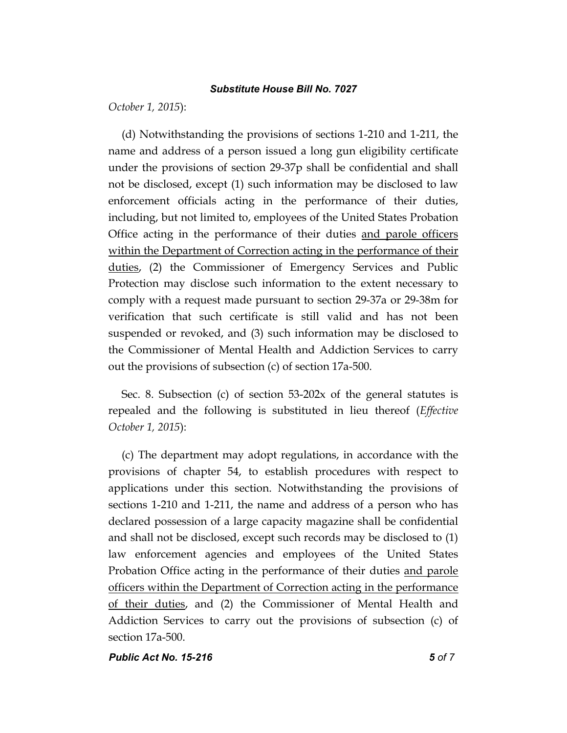*October 1, 2015*):

(d) Notwithstanding the provisions of sections 1-210 and 1-211, the name and address of a person issued a long gun eligibility certificate under the provisions of section 29-37p shall be confidential and shall not be disclosed, except (1) such information may be disclosed to law enforcement officials acting in the performance of their duties, including, but not limited to, employees of the United States Probation Office acting in the performance of their duties and parole officers within the Department of Correction acting in the performance of their duties, (2) the Commissioner of Emergency Services and Public Protection may disclose such information to the extent necessary to comply with a request made pursuant to section 29-37a or 29-38m for verification that such certificate is still valid and has not been suspended or revoked, and (3) such information may be disclosed to the Commissioner of Mental Health and Addiction Services to carry out the provisions of subsection (c) of section 17a-500.

Sec. 8. Subsection (c) of section 53-202x of the general statutes is repealed and the following is substituted in lieu thereof (*Effective October 1, 2015*):

(c) The department may adopt regulations, in accordance with the provisions of chapter 54, to establish procedures with respect to applications under this section. Notwithstanding the provisions of sections 1-210 and 1-211, the name and address of a person who has declared possession of a large capacity magazine shall be confidential and shall not be disclosed, except such records may be disclosed to (1) law enforcement agencies and employees of the United States Probation Office acting in the performance of their duties and parole officers within the Department of Correction acting in the performance of their duties, and (2) the Commissioner of Mental Health and Addiction Services to carry out the provisions of subsection (c) of section 17a-500.

*Public Act No. 15-216 5 of 7*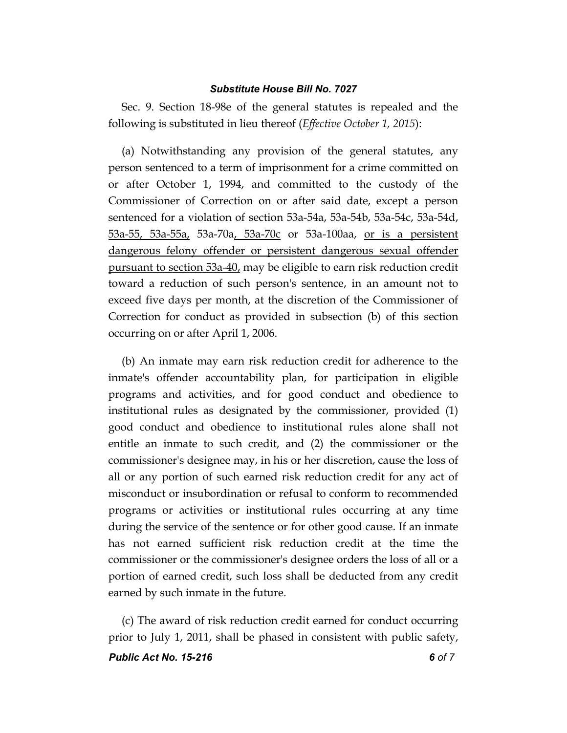Sec. 9. Section 18-98e of the general statutes is repealed and the following is substituted in lieu thereof (*Effective October 1, 2015*):

(a) Notwithstanding any provision of the general statutes, any person sentenced to a term of imprisonment for a crime committed on or after October 1, 1994, and committed to the custody of the Commissioner of Correction on or after said date, except a person sentenced for a violation of section 53a-54a, 53a-54b, 53a-54c, 53a-54d, 53a-55, 53a-55a, 53a-70a, 53a-70c or 53a-100aa, or is a persistent dangerous felony offender or persistent dangerous sexual offender pursuant to section 53a-40, may be eligible to earn risk reduction credit toward a reduction of such person's sentence, in an amount not to exceed five days per month, at the discretion of the Commissioner of Correction for conduct as provided in subsection (b) of this section occurring on or after April 1, 2006.

(b) An inmate may earn risk reduction credit for adherence to the inmate's offender accountability plan, for participation in eligible programs and activities, and for good conduct and obedience to institutional rules as designated by the commissioner, provided (1) good conduct and obedience to institutional rules alone shall not entitle an inmate to such credit, and (2) the commissioner or the commissioner's designee may, in his or her discretion, cause the loss of all or any portion of such earned risk reduction credit for any act of misconduct or insubordination or refusal to conform to recommended programs or activities or institutional rules occurring at any time during the service of the sentence or for other good cause. If an inmate has not earned sufficient risk reduction credit at the time the commissioner or the commissioner's designee orders the loss of all or a portion of earned credit, such loss shall be deducted from any credit earned by such inmate in the future.

(c) The award of risk reduction credit earned for conduct occurring prior to July 1, 2011, shall be phased in consistent with public safety,